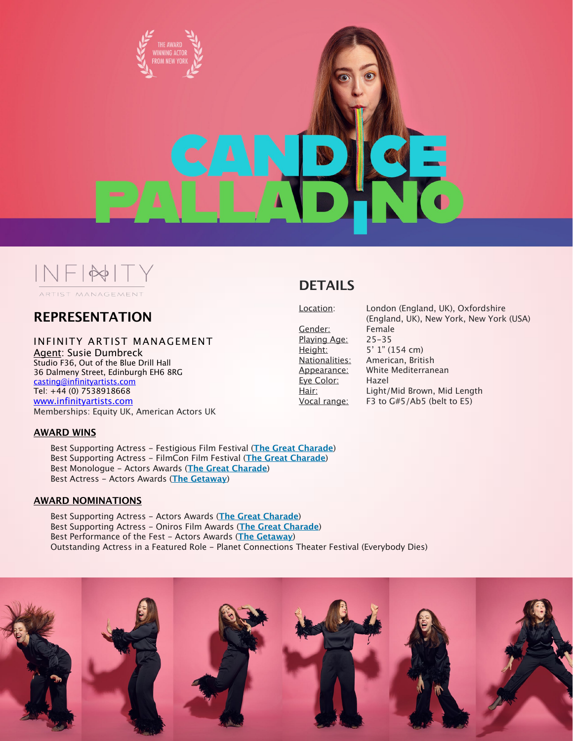

# $NFI^{\ast}F$ ARTIST MANAGEMENT

## **REPRESENTATION**

#### INFINITY ARTIST MANAGEMENT

Agent: Susie Dumbreck Studio F36, Out of the Blue Drill Hall 36 Dalmeny Street, Edinburgh EH6 8RG [casting@infinityartists.com](mailto:casting@infinityartists.com) Tel: +44 (0) 7538918668 [www.infinityartists.com](http://www.infinityartists.com) Memberships: Equity UK, American Actors UK

#### **AWARD WINS**

Best Supporting Actress - Festigious Film Festival (**[The Great Charade](https://www.imdb.com/title/tt9573186/?ref_=nv_sr_1?ref_=nv_sr_1)**) Best Supporting Actress - FilmCon Film Festival (**[The Great Charade](https://www.imdb.com/title/tt9573186/?ref_=nv_sr_1?ref_=nv_sr_1)**) Best Monologue - Actors Awards (**[The Great Charade](https://www.imdb.com/title/tt9573186/?ref_=nv_sr_1?ref_=nv_sr_1)**) Best Actress - Actors Awards (**[The Getaway](https://www.imdb.com/title/tt7102764/?ref_=nm_flmg_act_8)**)

#### **AWARD NOMINATIONS**

Best Supporting Actress - Actors Awards (**[The Great Charade](https://www.imdb.com/title/tt9573186/?ref_=nv_sr_1?ref_=nv_sr_1)**) Best Supporting Actress - Oniros Film Awards (**[The Great Charade](https://www.imdb.com/title/tt9573186/?ref_=nv_sr_1?ref_=nv_sr_1)**) Best Performance of the Fest - Actors Awards (**[The Getaway](https://www.imdb.com/title/tt7102764/?ref_=nm_flmg_act_8)**) Outstanding Actress in a Featured Role - Planet Connections Theater Festival (Everybody Dies)



Gender: Female Playing Age: 25-35 Eye Color: Hazel

Location: London (England, UK), Oxfordshire (England, UK), New York, New York (USA) Height: 5' 1" (154 cm) Nationalities: American, British Appearance: White Mediterranean Hair: Light/Mid Brown, Mid Length Vocal range: F3 to G#5/Ab5 (belt to E5)

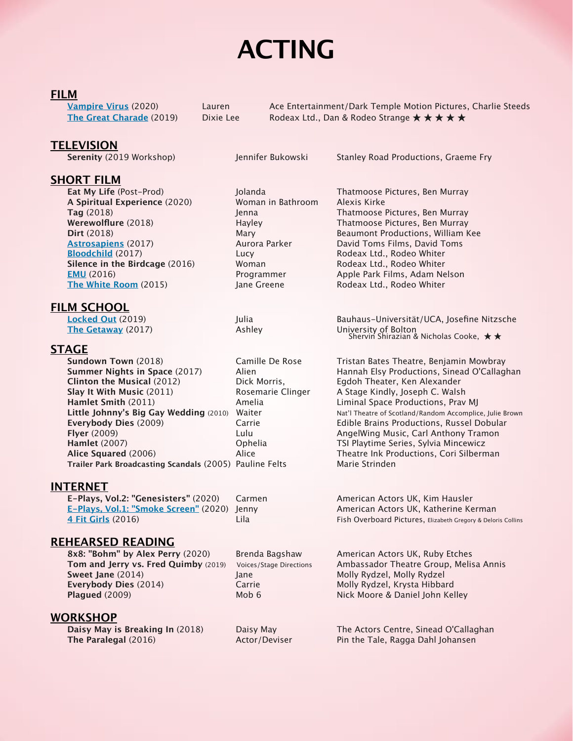# **ACTING**

## **FILM**

| Vampire Virus (2020)            |
|---------------------------------|
| <b>The Great Charade (2019)</b> |

Lauren **Ace Entertainment/Dark Temple Motion Pictures, Charlie Steeds Dixie Lee Rodeax Ltd., Dan & Rodeo Strange ★ ★ ★ ★** 

## **TELEVISION**

**Serenity** (2019 Workshop) Jennifer Bukowski Stanley Road Productions, Graeme Fry

## **SHORT FILM**

**Eat My Life** (Post-Prod) Jolanda Thatmoose Pictures, Ben Murray **A Spiritual Experience** (2020) Woman in Bathroom Alexis Kirke **[Astrosapiens](https://www.imdb.com/title/tt7073038/?ref_=nm_flmg_act_5)** (2017) Aurora Parker David Toms Films, David Toms **[Bloodchild](https://www.imdb.com/title/tt6462972/?ref_=nm_flmg_act_6)** (2017) **Lucy Lucy** Rodeax Ltd., Rodeo Whiter **Silence in the Birdcage** (2016) Woman Rodeax Ltd., Rodeo Whiter **[EMU](https://www.imdb.com/title/tt5487234/?ref_=nm_flmg_act_7)** (2016) **Programmer** Apple Park Films, Adam Nelson **[The White Room](https://www.imdb.com/title/tt5275094/?ref_=nm_flmg_act_3)** (2015) **Jane Greene** Rodeax Ltd., Rodeo Whiter

### **FILM SCHOOL**

**[The Getaway](https://www.imdb.com/title/tt7102764/?ref_=nm_flmg_act_8)** (2017) Ashley

## **STAGE**

**Sundown Town** (2018) Camille De Rose Tristan Bates Theatre, Benjamin Mowbray **Summer Nights in Space** (2017) Alien Hannah Elsy Productions, Sinead O'Callaghan **Clinton the Musical** (2012) Dick Morris, Egdoh Theater, Ken Alexander **Slay It With Music** (2011) **Rosemarie Clinger** A Stage Kindly, Joseph C. Walsh **Hamlet Smith** (2011) **Amelia** Amelia Liminal Space Productions, Prav MJ Little Johnny's Big Gay Wedding (2010) Waiter Nat'l Theatre of Scotland/Random Accomplice, Julie Brown **Everybody Dies** (2009) Carrie Edible Brains Productions, Russel Dobular **Flyer** (2009) **Lulu Lulu AngelWing Music, Carl Anthony Tramon Hamlet** (2007) **Community Community Community Community Community Community Community Community Community Community Community Community Community Community Community Community Community Community Community Community Commu Alice Squared** (2006) Alice Theatre Ink Productions, Cori Silberman **Trailer Park Broadcasting Scandals** (2005) Pauline Felts Marie Strinden

## **INTERNET**

**E-Plays, Vol.2: "Genesisters"** (2020) Carmen American Actors UK, Kim Hausler **E-Plays, Vol.1: ["Smoke Screen"](https://vimeo.com/446471824)** (2020) Jenny **American Actors UK, Katherine Kerman** 

## **REHEARSED READING**

**8x8: "Bohm" by Alex Perry** (2020) Brenda Bagshaw American Actors UK, Ruby Etches **Sweet Jane** (2014) **Jane Sweet Jane** Molly Rydzel, Molly Rydzel, Molly Rydzel **Everybody Dies** (2014) **Carrie Molly Rydzel, Krysta Hibbard** Carrie Molly Rydzel, Krysta Hibbard **Plagued** (2009) Mob 6 Mob 6 Nick Moore & Daniel John Kelley

### **WORKSHOP**

**Tag** (2018) Jenna Thatmoose Pictures, Ben Murray **Werewolflure** (2018) **Hayley Hayley Thatmoose Pictures, Ben Murray** Thatmoose Pictures, Ben Murray **Dirt** (2018) Mary Beaumont Productions, William Kee

**[Locked Out](https://www.imdb.com/title/tt9067818/?ref_=nm_flmg_act_4)** (2019) Julia Bauhaus-Universität/UCA, Josefine Nitzsche University of Bolton<br>Shervin Shirazian & Nicholas Cooke, ★★

**[4 Fit Girls](https://www.imdb.com/title/tt6175392/?ref_=nm_flmg_act_9)** (2016) **Lila** Lila Fish Overboard Pictures, Elizabeth Gregory & Deloris Collins

**Tom and Jerry vs. Fred Quimby** (2019) Voices/Stage Directions Ambassador Theatre Group, Melisa Annis

**Daisy May is Breaking In** (2018) Daisy May The Actors Centre, Sinead O'Callaghan **The Paralegal** (2016) **Actor/Deviser** Pin the Tale, Ragga Dahl Johansen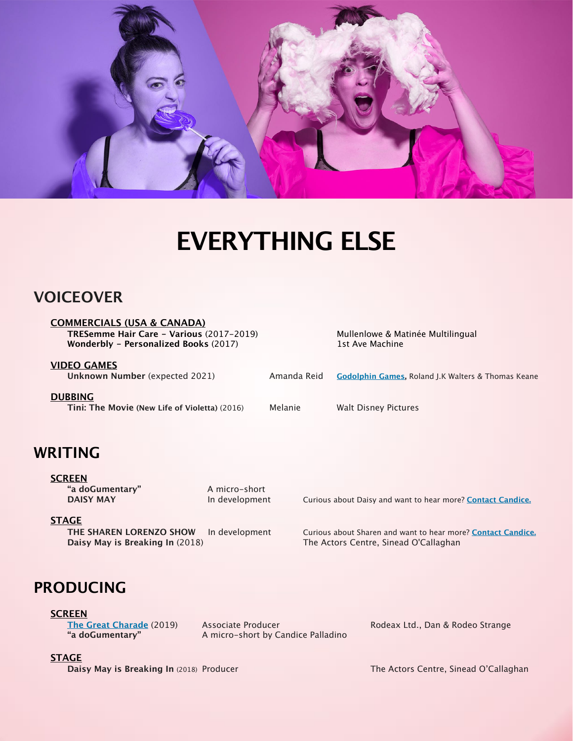

# **EVERYTHING ELSE**

# **VOICEOVER**

**COMMERCIALS (USA & CANADA) TRESemme Hair Care - Various** (2017-2019) Mullenlowe & Matinée Multilingual **Wonderbly - Personalized Books** (2017) 1st Ave Machine

**VIDEO GAMES** 

**Unknown Number** (expected 2021) Amanda Reid **[Godolphin Games,](https://www.godolphingames.com)** Roland J.K Walters & Thomas Keane **DUBBING Tini: The Movie (New Life of Violetta)** (2016) Melanie Walt Disney Pictures

# **WRITING**

#### **SCREEN**

**"a doGumentary"** A micro-short

**DAISY MAY In development** Curious about Daisy and want to hear more? **[Contact Candice.](http://candicepalladino.com/contact/)** 

### **STAGE**

**Daisy May is Breaking In** (2018) The Actors Centre, Sinead O'Callaghan

**THE SHAREN LORENZO SHOW** In development Curious about Sharen and want to hear more? **[Contact Candice.](http://candicepalladino.com/contact/)** 

# **PRODUCING**

**SCREEN**

**[The Great Charade](https://www.imdb.com/title/tt9573186/?ref_=nv_sr_1?ref_=nv_sr_1)** (2019) Associate Producer Rodeax Ltd., Dan & Rodeo Strange **"a doGumentary"** A micro-short by Candice Palladino

#### **STAGE**

**Daisy May is Breaking In** (2018) Producer The Actors Centre, Sinead O'Callaghan